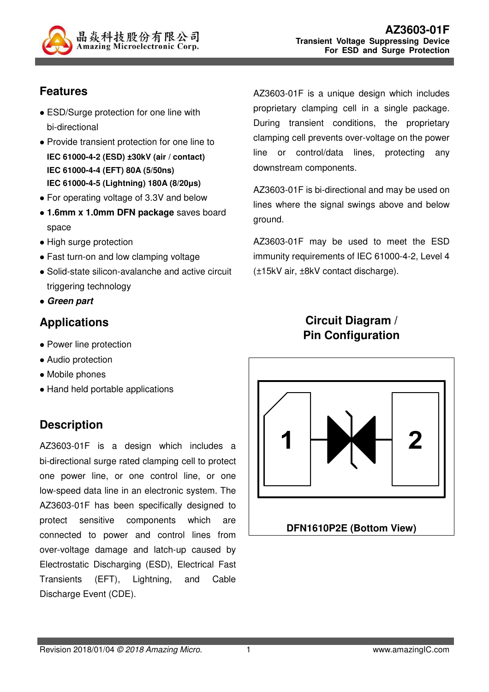

# **Features**

- ESD/Surge protection for one line with bi-directional
- Provide transient protection for one line to **IEC 61000-4-2 (ESD) ±30kV (air / contact) IEC 61000-4-4 (EFT) 80A (5/50ns) IEC 61000-4-5 (Lightning) 180A (8/20µs)**
- For operating voltage of 3.3V and below
- **1.6mm x 1.0mm DFN package** saves board space
- High surge protection
- Fast turn-on and low clamping voltage
- Solid-state silicon-avalanche and active circuit triggering technology
- **Green part**

## **Applications**

- Power line protection
- Audio protection
- Mobile phones
- Hand held portable applications

## **Description**

AZ3603-01F is a design which includes a bi-directional surge rated clamping cell to protect one power line, or one control line, or one low-speed data line in an electronic system. The AZ3603-01F has been specifically designed to protect sensitive components which are connected to power and control lines from over-voltage damage and latch-up caused by Electrostatic Discharging (ESD), Electrical Fast Transients (EFT), Lightning, and Cable Discharge Event (CDE).

AZ3603-01F is a unique design which includes proprietary clamping cell in a single package. During transient conditions, the proprietary clamping cell prevents over-voltage on the power line or control/data lines, protecting any downstream components.

AZ3603-01F is bi-directional and may be used on lines where the signal swings above and below ground.

AZ3603-01F may be used to meet the ESD immunity requirements of IEC 61000-4-2, Level 4 (±15kV air, ±8kV contact discharge).

# **Circuit Diagram / Pin Configuration**

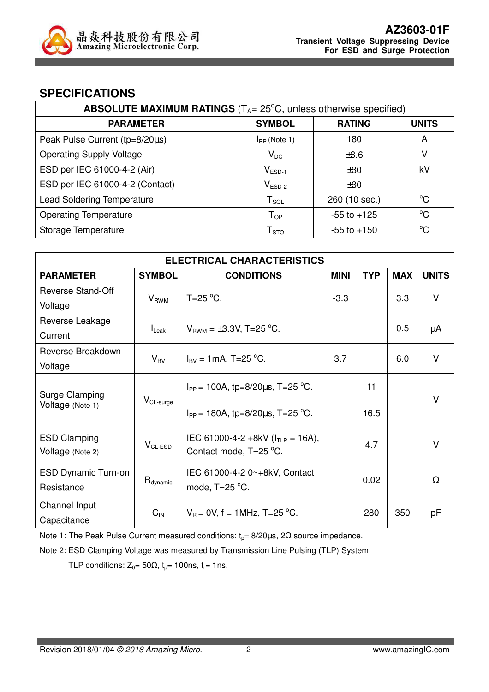

#### **SPECIFICATIONS**

| <b>ABSOLUTE MAXIMUM RATINGS</b> ( $T_{A}$ = 25 $^{\circ}$ C, unless otherwise specified) |                             |                 |              |
|------------------------------------------------------------------------------------------|-----------------------------|-----------------|--------------|
| <b>PARAMETER</b>                                                                         | <b>SYMBOL</b>               | <b>RATING</b>   | <b>UNITS</b> |
| Peak Pulse Current (tp=8/20µs)                                                           | $I_{PP}$ (Note 1)           | 180             | A            |
| <b>Operating Supply Voltage</b>                                                          | $V_{DC}$                    | ±3.6            | v            |
| ESD per IEC 61000-4-2 (Air)                                                              | $V_{ESD-1}$                 | ±30             | kV           |
| ESD per IEC 61000-4-2 (Contact)                                                          | $V_{ESD-2}$                 | ±30             |              |
| <b>Lead Soldering Temperature</b>                                                        | ${\sf T}_{\sf SOL}$         | 260 (10 sec.)   | $^{\circ}C$  |
| <b>Operating Temperature</b>                                                             | ${\mathsf T}_{\textsf{OP}}$ | $-55$ to $+125$ | $^{\circ}C$  |
| Storage Temperature                                                                      | ${\sf T}_{\sf STO}$         | $-55$ to $+150$ | °C           |

| <b>ELECTRICAL CHARACTERISTICS</b> |                                            |                                            |             |            |            |              |
|-----------------------------------|--------------------------------------------|--------------------------------------------|-------------|------------|------------|--------------|
| <b>PARAMETER</b>                  | <b>SYMBOL</b>                              | <b>CONDITIONS</b>                          | <b>MINI</b> | <b>TYP</b> | <b>MAX</b> | <b>UNITS</b> |
| <b>Reverse Stand-Off</b>          |                                            | $T=25$ °C.                                 | $-3.3$      |            | 3.3        | $\vee$       |
| Voltage                           | $V_{RWM}$                                  |                                            |             |            |            |              |
| Reverse Leakage                   |                                            |                                            |             |            | 0.5        |              |
| Current                           | $I_{\text{Leak}}$                          | $V_{BWM} = \pm 3.3V$ , T=25 °C.            |             |            |            | μA           |
| Reverse Breakdown                 |                                            |                                            | 3.7         |            | 6.0        | $\vee$       |
| Voltage                           | $V_{BV}$                                   | $I_{\text{BV}} = 1 \text{mA}$ , T=25 °C.   |             |            |            |              |
|                                   |                                            | $I_{PP}$ = 100A, tp=8/20 $\mu$ s, T=25 °C. |             | 11         |            |              |
| Surge Clamping                    | $V_{CL-surge}$                             |                                            |             |            |            | V            |
| Voltage (Note 1)                  | $I_{PP}$ = 180A, tp=8/20 $\mu$ s, T=25 °C. |                                            | 16.5        |            |            |              |
| <b>ESD Clamping</b>               |                                            | IEC 61000-4-2 +8kV ( $I_{TLP}$ = 16A),     |             |            |            | V            |
| Voltage (Note 2)                  | $V_{CL-ESD}$                               | Contact mode, T=25 °C.                     |             | 4.7        |            |              |
| <b>ESD Dynamic Turn-on</b>        |                                            | IEC 61000-4-2 0~+8kV, Contact              |             |            |            |              |
| Resistance                        | $R_{\text{dynamic}}$                       | mode, $T=25$ °C.                           |             | 0.02       |            | Ω            |
| Channel Input                     |                                            |                                            |             |            |            |              |
| Capacitance                       | $C_{IN}$                                   | $V_B = 0V$ , f = 1MHz, T=25 °C.            |             | 280        | 350        | рF           |

Note 1: The Peak Pulse Current measured conditions:  $t_0$ = 8/20μs, 2Ω source impedance.

Note 2: ESD Clamping Voltage was measured by Transmission Line Pulsing (TLP) System.

TLP conditions:  $Z_0 = 50\Omega$ ,  $t_p = 100$ ns,  $t_r = 1$ ns.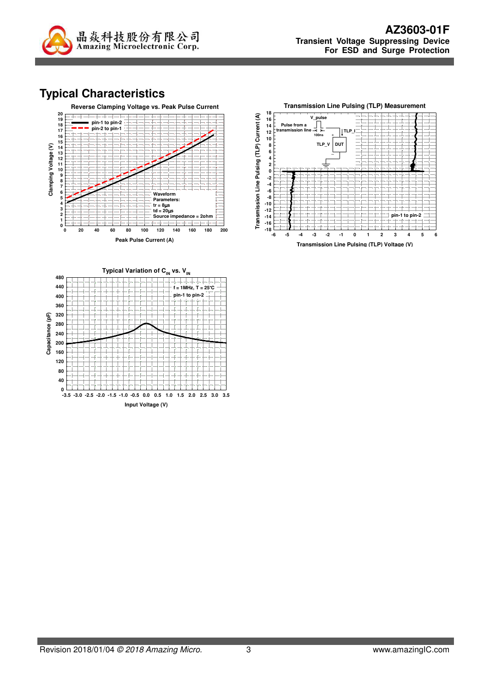

# **Typical Characteristics**

**Capacitance (pF)**

Capacitance (pF)

**0**





**Input Voltage (V) -3.5 -3.0 -2.5 -2.0 -1.5 -1.0 -0.5 0.0 0.5 1.0 1.5 2.0 2.5 3.0 3.5**



**Transmission Line Pulsing (TLP) Voltage (V)**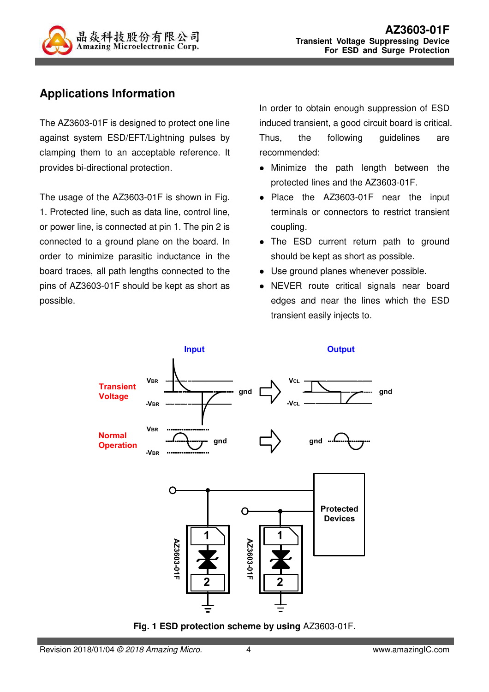

# **Applications Information**

The AZ3603-01F is designed to protect one line against system ESD/EFT/Lightning pulses by clamping them to an acceptable reference. It provides bi-directional protection.

The usage of the AZ3603-01F is shown in Fig. 1. Protected line, such as data line, control line, or power line, is connected at pin 1. The pin 2 is connected to a ground plane on the board. In order to minimize parasitic inductance in the board traces, all path lengths connected to the pins of AZ3603-01F should be kept as short as possible.

In order to obtain enough suppression of ESD induced transient, a good circuit board is critical. Thus, the following guidelines are recommended:

- Minimize the path length between the protected lines and the AZ3603-01F.
- Place the AZ3603-01F near the input terminals or connectors to restrict transient coupling.
- The ESD current return path to ground should be kept as short as possible.
- Use ground planes whenever possible.
- NEVER route critical signals near board edges and near the lines which the ESD transient easily injects to.



**Fig. 1 ESD protection scheme by using** AZ3603-01F**.**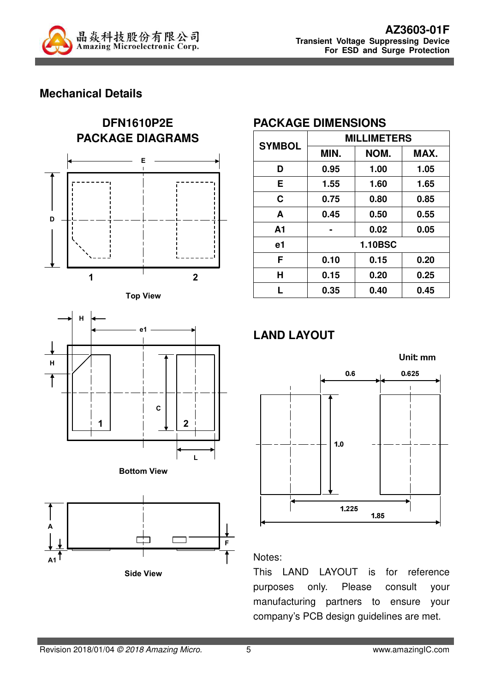

## **Mechanical Details**









### **PACKAGE DIMENSIONS**

| <b>SYMBOL</b>  | <b>MILLIMETERS</b> |      |      |  |
|----------------|--------------------|------|------|--|
|                | MIN.               | NOM. | MAX. |  |
| D              | 0.95               | 1.00 | 1.05 |  |
| Е              | 1.55               | 1.60 | 1.65 |  |
| C              | 0.75               | 0.80 | 0.85 |  |
| A              | 0.45               | 0.50 | 0.55 |  |
| A <sub>1</sub> |                    | 0.02 | 0.05 |  |
| e1             | <b>1.10BSC</b>     |      |      |  |
| F              | 0.10               | 0.15 | 0.20 |  |
| Н              | 0.15               | 0.20 | 0.25 |  |
| L              | 0.35               | 0.40 | 0.45 |  |

# **LAND LAYOUT**



#### Notes:

This LAND LAYOUT is for reference purposes only. Please consult your manufacturing partners to ensure your company's PCB design guidelines are met.